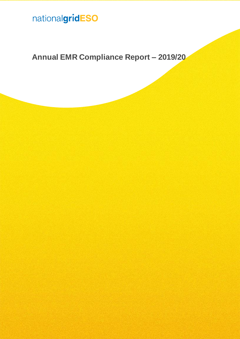# nationalgridESO

**Annual EMR Compliance Report – 2019/20**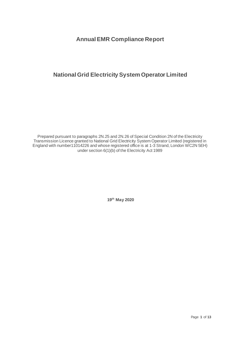**Annual EMR Compliance Report**

### **National Grid Electricity System Operator Limited**

Prepared pursuant to paragraphs 2N.25 and 2N.26 of Special Condition 2N of the Electricity Transmission Licence granted to National Grid Electricity System Operator Limited (registered in England with number11014226 and whose registered office is at 1-3 Strand, London WC2N 5EH) under section 6(1)(b) of the Electricity Act 1989

**19th May 2020**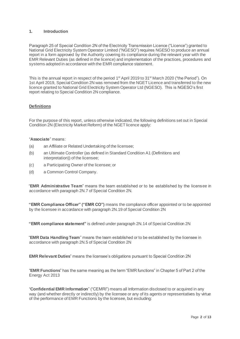#### **1. Introduction**

Paragraph 25 of Special Condition 2N of the Electricity Transmission Licence ("Licence") granted to National Grid Electricity System Operator Limited ("NGESO") requires NGESO to produce an annual report in a form approved by the Authority covering its compliance during the relevant year with the EMR Relevant Duties (as defined in the licence) and implementation of the practices, procedures and systems adopted in accordance with the EMR compliance statement.

This is the annual report in respect of the period 1<sup>st</sup> April 2019 to 31<sup>st</sup> March 2020 ("the Period"). On 1st April 2019, Special Condition 2N was removed from the NGET Licence and transferred to the new licence granted to National Grid Electricity System Operator Ltd (NGESO). This is NGESO's first report relating to Special Condition 2N compliance.

#### **Definitions**

For the purpose of this report, unless otherwise indicated, the following definitions set out in Special Condition 2N (Electricity Market Reform) of the NGET licence apply:

#### "**Associate**" means:

- (a) an Affiliate or Related Undertaking of the licensee;
- (b) an Ultimate Controller (as defined in Standard Condition A1 (Definitions and interpretation)) of the licensee;
- (c) a Participating Owner of the licensee; or
- (d) a Common Control Company.

"**EMR Administrative Team**" means the team established or to be established by the licensee in accordance with paragraph 2N.7 of Special Condition 2N.

**"EMR Compliance Officer" ("EMR CO")** means the compliance officer appointed or to be appointed by the licensee in accordance with paragraph 2N.19 of Special Condition 2N

**"EMR compliance statement"** is defined under paragraph 2N.14 of Special Condition 2N

"**EMR Data Handling Team**" means the team established or to be established by the licensee in accordance with paragraph 2N.5 of Special Condition 2N

**EMR Relevant Duties**" means the licensee's obligations pursuant to Special Condition 2N

"**EMR Functions**" has the same meaning as the term "EMR functions" in Chapter 5 of Part 2 of the Energy Act 2013

"**Confidential EMR Information**" ("CEMRI") means all Information disclosed to or acquired in any way (and whether directly or indirectly) by the licensee or any of its agents or representatives by virtue of the performance of EMR Functions by the licensee, but excluding: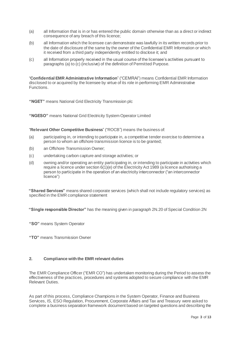- (a) all Information that is in or has entered the public domain otherwise than as a direct or indirect consequence of any breach of this licence;
- (b) all Information which the licensee can demonstrate was lawfully in its written records prior to the date of disclosure of the same by the owner of the Confidential EMR Information or which it received from a third party independently entitled to disclose it; and
- (c) all Information properly received in the usual course of the licensee's activities pursuant to paragraphs (a) to (c) (inclusive) of the definition of Permitted Purpose.

"**Confidential EMR Administrative Information**" ("CEMRAI") means Confidential EMR Information disclosed to or acquired by the licensee by virtue of its role in performing EMR Administrative Functions.

**"NGET"** means National Grid Electricity Transmission plc

**"NGESO"** means National Grid Electricity System Operator Limited

"**Relevant Other Competitive Business**" ("ROCB") means the business of:

- (a) participating in, or intending to participate in, a competitive tender exercise to determine a person to whom an offshore transmission licence is to be granted;
- (b) an Offshore Transmission Owner;
- (c) undertaking carbon capture and storage activities; or
- (d) owning and/or operating an entity participating in, or intending to participate in activities which require a licence under section 6(1)(e) of the Electricity Act 1989 (a licence authorising a person to participate in the operation of an electricity interconnector ("an interconnector licence")

**"Shared Services"** means shared corporate services (which shall not include regulatory services) as specified in the EMR compliance statement

**"Single responsible Director"** has the meaning given in paragraph 2N.20 of Special Condition 2N

- **"SO"** means System Operator
- **"TO"** means Transmission Owner

#### **2. Compliance with the EMR relevant duties**

The EMR Compliance Officer ("EMR CO") has undertaken monitoring during the Period to assess the effectiveness of the practices, procedures and systems adopted to secure compliance with the EMR Relevant Duties.

As part of this process, Compliance Champions in the System Operator, Finance and Business Services, IS, ESO Regulation, Procurement, Corporate Affairs and Tax and Treasury were asked to complete a business separation framework document based on targeted questions and describing the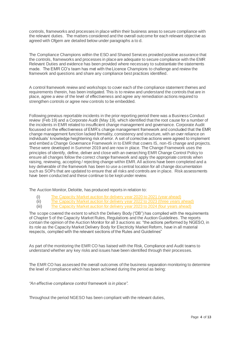controls, frameworks and processes in place within their business areas to secure compliance with the relevant duties. The matters considered and the overall outcome for each relevant objective as agreed with Ofgem are detailed below under paragraphs a to d.

The Compliance Champions within the ESO and Shared Services provided positive assurance that the controls, frameworks and processes in place are adequate to secure compliance with the EMR Relevant Duties and evidence has been provided where necessary to substantiate the statements made. The EMR CO's team has met with the Licence Champions to challenge and review the framework and questions and share any compliance best practices identified.

A control framework review and workshops to cover each of the compliance statement themes and requirements therein, has been instigated. This is to review and understand the controls that are in place, agree a view of the level of effectiveness and agree any remediation actions required to strengthen controls or agree new controls to be embedded.

Following previous reportable incidents in the prior reporting period there was a Business Conduct review (Feb 19) and a Corporate Audit (May 19), which identified that the root cause for a number of the incidents in EMR related to insufficient change management and governance. Corporate Audit focussed on the effectiveness of EMR's change management framework and concluded that the EMR change management function lacked formality, consistency and structure, with an over reliance on individuals' knowledge heightening risk of error. A set of corrective actions were agreed to implement and embed a Change Governance Framework in to EMR that covers IS, non-IS change and projects. These were developed in Summer 2019 and are now in place. The Change Framework uses the principles of identify, define, deliver and close with an overarching EMR Change Control Policy to ensure all changes follow the correct change framework and apply the appropriate controls when raising, reviewing, accepting / rejecting change within EMR. All actions have been completed and a key deliverable of the framework has been to use a central location for all change documentation such as SOPs that are updated to ensure that all risks and controls are in place. Risk assessments have been conducted and these continue to be kept under review.

The Auction Monitor, Deloitte, has produced reports in relation to:

- (i) The [Capacity Market auction for delivery year 2020 to 2021 \(year ahead\)](https://www.gov.uk/government/publications/capacity-market-auction-auction-monitor-report-for-t-1-auction-for-2020-to-2021?utm_source=9ae01b7c-6e98-40ae-a560-9254ec7eb31a&utm_medium=email&utm_campaign=govuk-notifications&utm_content=daily)  $\overline{I}$  (ii) The Capacity Market auction for delivery year 2022 to 2023 (three years
- [The Capacity Market auction for delivery year 2022 to 2023 \(three years ahead\)](https://www.gov.uk/government/publications/capacity-market-auction-auction-monitor-report-for-t-3-auction-for-2022-to-2023)
- (iii) [The Capacity Market auction for delivery year 2023 to 2024 \(four years ahead\)](https://www.gov.uk/government/publications/capacity-market-auction-auction-monitor-report-for-t-4-auction-for-2023-to-2024)

The scope covered the extent to which the Delivery Body ("DB") has complied with the requirements of Chapter 5 of the Capacity Market Rules, Regulations and the Auction Guidelines. The reports contain the opinion of the Auction Monitor for all 3 auctions as: "the actions performed by NGESO, in its role as the Capacity Market Delivery Body for Electricity Market Reform, have in all material respects, complied with the relevant sections of the Rules and Guidelines"

As part of the monitoring the EMR CO has liaised with the Risk, Compliance and Audit teams to understand whether any key risks and issues have been identified through their processes.

The EMR CO has assessed the overall outcomes of the business separation monitoring to determine the level of compliance which has been achieved during the period as being:

*"An effective compliance control framework is in place".*

Throughout the period NGESO has been compliant with the relevant duties,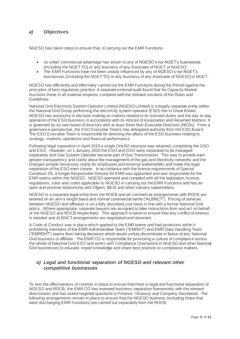#### *a)* **Objectives**

NGESO has taken steps to ensure that, in carrying out the EMR Functions

- no unfair commercial advantage has arisen to any of NGESO's nor NGET's businesses (including the NGET TO) or any business of any Associate of NGET or NGESO;
- The EMR Functions have not been unduly influenced by any of NGESO's nor NGET's businesses (including the NGET TO) or any business of any Associate of NGESO or NGET.

NGESO has efficiently and effectively carried out the EMR Functions during the Period against the principles of best regulatory practice. A separate external audit found that for Capacity Market Auctions these in all material respects, complied with the relevant sections of the Rules and Guidelines.

National Grid Electricity System Operator Limited (NGESO Limited) is a legally separate entity within the National Grid Group performing the electricity system operator (ESO) role in Great Britain. NGESO has autonomy in decision making on matters related to its licensed duties and the day-to-day operation of the ESO business in accordance with its Articles of Association and Reserved Matters. It is governed by its own board of directors with at least three Non-Executive Directors (NEDs). From a governance perspective, the ESO Executive Teams has delegated authority from the ESO Board. The ESO Executive Team is responsible for directing the affairs of the ESO business relating to strategy, markets, operations and financial performance.

Following legal separation in April 2019 a single OneSO structure was retained, comprising the GSO and ESO. However, on 1 January 2020 the ESO and GSO were separated to be managed separately and Gas System Operator became part of Gas Transmission. This was to provide even greater transparency and clarity about the management of the gas and electricity networks and the changes provide necessary clarity for employees and external stakeholders and make the legal separation of the ESO even clearer. In accordance with the licence requirements of Special Condition 2N, a Single Responsible Director for EMR was appointed and was responsible for the EMR teams within the NGESO. NGESO operated and complied with all the legislation, licence, regulations, rules and codes applicable to NGESO in carrying out the EMR Functions and has an open and positive relationship with Ofgem, BEIS and other industry stakeholders.

NGESO is a separate legal entity from the ROCB and all commercial arrangements with ROCB are entered on an arm's length basis and normal commercial terms ("ALBNCT"). Pricing of services between NGESO and affiliates is on a fully absorbed cost basis in line with a formal National Grid policy. Where appropriate, separate lawyers are assigned to take instructions from and act on behalf of the NGESO and ROCB respectively. This approach is taken to ensure that any conflict of interest is avoided and ALBNCT arrangements are negotiated and observed.

A Code of Conduct was in place which applied to the EMR teams and had provisions within it prohibiting members of the EMR Administrative Team ("EMRAT") and EMR Data Handling Team ("EMRDHT") teams from taking decisions which would unduly discriminate in favour of any National Grid business or affiliate. The EMR CO is responsible for promoting a culture of compliance across the whole of National Grid ESO and works with Compliance Champions in NGESO and other National Grid businesses to educate, impart knowledge and share best practice on compliance matters.

#### *a) Legal and functional separation of NGESO and relevant other competitive businesses*

To test the effectiveness of controls in place to ensure that there is legal and functional separation of NGESO and ROCB, the EMR CO has reviewed business separation frameworks with the relevant directorates and has asked targeted questions to Finance, Treasury and Company Secretariat. The following arrangements remain in place to ensure that the NGESO business (including those that were discharging EMR Functions) are carried out separately from the ROCB: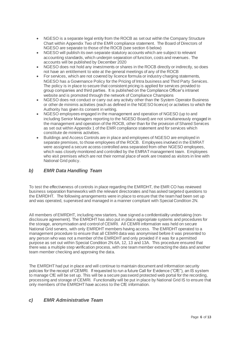- NGESO is a separate legal entity from the ROCB as set out within the Company Structure Chart within Appendix Two of the EMR compliance statement. The Board of Directors of NGESO are separate to those of the ROCB (see section 6 below)
- NGESO will publish its own separate statutory accounts which are subject to relevant accounting standards, which underpin separation of function, costs and revenues. The accounts will be published by December 2020
- NGESO does not hold any investments or shares in the ROCB directly or indirectly, so does not have an entitlement to vote at the general meetings of any of the ROCB
- For services, which are not covered by licence formula or industry charging statements, NGESO has a Governance Policy for the Pricing of Intra business and Third Party Services. The policy is in place to secure that consistent pricing is applied for services provided to group companies and third parties. It is published on the Compliance Officer's intranet website and is promoted through the network of Compliance Champions
- NGESO does not conduct or carry out any activity other than the System Operator Business or other de minimis activities (each as defined in the NGESOlicence) or activities to which the Authority has given its consent in writing.
- NGESO employees engaged in the management and operation of NGESO (up to and including Senior Managers reporting to the NGESO Board) are not simultaneously engaged in the management and operation of the ROCB, other than for the provision of Shared Services as set out within Appendix 1 of the EMR compliance statement and for services which constitute de minimis activities.
- Buildings and Access Controls are in place and employees of NGESO are employed in separate premises, to those employees of the ROCB. Employees involved in the EMRAT were assigned a secure access controlled area separated from other NGESO employees, which was closely monitored and controlled by the EMRAT management team. Employees who visit premises which are not their normal place of work are treated as visitors in line with National Grid policy.

#### *b) EMR Data Handling Team*

To test the effectiveness of controls in place regarding the EMRDHT, the EMR CO has reviewed business separation frameworks with the relevant directorates and has asked targeted questions to the EMRDHT. The following arrangements were in place to ensure that the team had been set up and was operated, supervised and managed in a manner compliant with Special Condition 2N.

All members of EMRDHT, including new starters, have signed a confidentiality undertaking (nondisclosure agreement). The EMRDHT has also put in place appropriate systems and procedures for the storage, anonymisation and control of CEMRI. All CEMRI information was held on secure National Grid servers, with only EMRDHT members having access. The EMRDHT operated to a management procedure to ensure that all CEMRI data was anonymised before it was presented to any person who was not a member of the EMRDHT and only provided if it was for a permitted purpose as set out within Special Condition 2N.6A, 12, 13 and 13A. This procedure ensured that there was a multiple step verification process, with one team member extracting the data and another team member checking and approving the data.

The EMRDHT had put in place and will continue to maintain document and information security policies for the receipt of CEMRI. If requested to run a future Call for Evidence ("CfE"), an IS system to manage CfE will be set up. This will be a secure password protected web portal for the recording, processing and storage of CEMRI. Functionality will be put in place by National Grid IS to ensure that only members of the EMRDHT have access to the CfE information.

#### *c) EMR Administrative Team*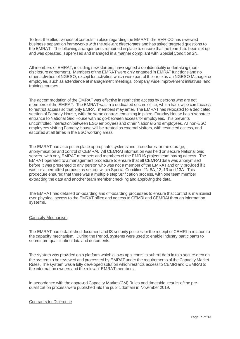To test the effectiveness of controls in place regarding the EMRAT, the EMR CO has reviewed business separation frameworks with the relevant directorates and has asked targeted questions to the EMRAT. The following arrangements remained in place to ensure that the team had been set up and was operated, supervised and managed in a manner compliant with Special Condition 2N.

All members of EMRAT, including new starters, have signed a confidentiality undertaking (nondisclosure agreement). Members of the EMRAT were only engaged in EMRAT functions and no other activities of NGESO, except for activities which were part of their role as an NGESO Manager or employee, such as attendance at management meetings, company wide improvement initiatives, and training courses.

The accommodation of the EMRAT was effective in restricting access by persons who are not members of the EMRAT. The EMRAT was in a dedicated secure office, which has swipe card access to restrict access so that only EMRAT members may enter. The EMRAT has relocated to a dedicated section of Faraday House, with the same controls remaining in place. Faraday House has a separate entrance to National Grid House with no go-between access for employees. This prevents uncontrolled interaction between ESO employees and other National Grid employees. All non-ESO employees visiting Faraday House will be treated as external visitors, with restricted access, and escorted at all times in the ESO working areas.

The EMRAT had also put in place appropriate systems and procedures for the storage, anonymisation and control of CEMRAI. All CEMRAI information was held on secure National Grid servers, with only EMRAT members and members of the EMR IS project team having access. The EMRAT operated to a management procedure to ensure that all CEMRAI data was anonymised before it was presented to any person who was not a member of the EMRAT and only provided if it was for a permitted purpose as set out within Special Condition 2N.8A, 12, 13 and 13A. This procedure ensured that there was a multiple step verification process, with one team member extracting the data and another team member checking and approving the data.

The EMRAT had detailed on-boarding and off-boarding processes to ensure that control is maintained over physical access to the EMRAT office and access to CEMRI and CEMRAI through information systems.

#### Capacity Mechanism

The EMRAT had established document and IS security policies for the receipt of CEMRI in relation to the capacity mechanism. During the Period, systems were used to enable industry participants to submit pre-qualification data and documents.

The system was provided on a platform which allows applicants to submit data in to a secure area on the system to be reviewed and processed by EMRAT under the requirements of the Capacity Market Rules. The system was a fully developed solution which restricts access to CEMRI and CEMRAI to the information owners and the relevant EMRAT members.

In accordance with the approved Capacity Market (CM) Rules and timetable, results of the prequalification process were published into the public domain in November 2019.

#### Contracts for Difference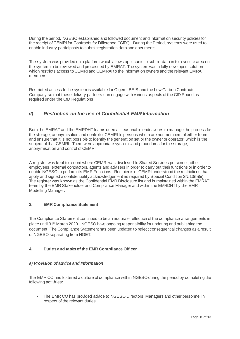During the period, NGESO established and followed document and information security policies for the receipt of CEMRI for Contracts for Difference ("CfD"). During the Period, systems were used to enable industry participants to submit registration data and documents.

The system was provided on a platform which allows applicants to submit data in to a secure area on the system to be reviewed and processed by EMRAT. The system was a fully developed solution which restricts access to CEMRI and CEMRAI to the information owners and the relevant EMRAT members.

Restricted access to the system is available for Ofgem, BEIS and the Low Carbon Contracts Company so that these delivery partners can engage with various aspects of the CfD Round as required under the CfD Regulations.

#### *d) Restriction on the use of Confidential EMR Information*

Both the EMRAT and the EMRDHT teams used all reasonable endeavours to manage the process for the storage, anonymisation and control of CEMRI to persons whom are not members of either team and ensure that it is not possible to identify the generation set or the owner or operator, which is the subject of that CEMRI. There were appropriate systems and procedures for the storage, anonymisation and control of CEMRI.

A register was kept to record where CEMRI was disclosed to Shared Services personnel, other employees, external contractors, agents and advisers in order to carry out their functions or in order to enable NGESO to perform its EMR Functions. Recipients of CEMRI understood the restrictions that apply and signed a confidentiality acknowledgement as required by Special Condition 2N.13(b)(ii). The register was known as the Confidential EMR Disclosure list and is maintained within the EMRAT team by the EMR Stakeholder and Compliance Manager and within the EMRDHT by the EMR Modelling Manager.

#### **3. EMR Compliance Statement**

The Compliance Statement continued to be an accurate reflection of the compliance arrangements in place until 31<sup>st</sup> March 2020. NGESO have ongoing responsibility for updating and publishing the document. The Compliance Statement has been updated to reflect consequential changes as a result of NGESO separating from NGET.

#### **4. Duties and tasks of the EMR Compliance Officer**

#### *a) Provision of advice and Information*

The EMR CO has fostered a culture of compliance within NGESO during the period by completing the following activities:

• The EMR CO has provided advice to NGESO Directors, Managers and other personnel in respect of the relevant duties.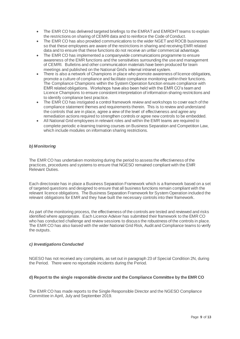- The EMR CO has delivered targeted briefings to the EMRAT and EMRDHT teams to explain the restrictions on sharing of CEMRI data and to reinforce the Code of Conduct.
- The EMR CO has also provided communications to the wider NGET and ROCB businesses so that these employees are aware of the restrictions in sharing and receiving EMR related data and to ensure that these functions do not receive an unfair commercial advantage.
- The EMR CO has implemented a companywide communications programme to ensure awareness of the EMR functions and the sensitivities surrounding the use and management of CEMRI. Bulletins and other communication materials have been produced for team meetings and published on the National Grid's internal intranet system.
- There is also a network of Champions in place who promote awareness of licence obligations, promote a culture of compliance and facilitate compliance monitoring within their functions. The Compliance Champions within the System Operation function ensure compliance with EMR related obligations. Workshops have also been held with the EMR CO's team and Licence Champions to ensure consistent interpretation of information sharing restrictions and to identify compliance best practice.
- The EMR CO has instigated a control framework review and workshops to cover each of the compliance statement themes and requirements therein. This is to review and understand the controls that are in place, agree a view of the level of effectiveness and agree any remediation actions required to strengthen controls or agree new controls to be embedded.
- All National Grid employees in relevant roles and within the EMR teams are required to complete periodic e-learning training courses on Business Separation and Competition Law, which include modules on information sharing restrictions.

#### *b) Monitoring*

The EMR CO has undertaken monitoring during the period to assess the effectiveness of the practices, procedures and systems to ensure that NGESO remained compliant with the EMR Relevant Duties.

Each directorate has in place a Business Separation Framework which is a framework based on a set of targeted questions and designed to ensure that all business functions remain compliant with the relevant licence obligations. The Business Separation Framework for System Operation included the relevant obligations for EMR and they have built the necessary controls into their framework.

As part of the monitoring process, the effectiveness of the controls are tested and reviewed and risks identified where appropriate. Each Licence Adviser has submitted their framework to the EMR CO who has conducted challenge and review sessions to discuss the robustness of the controls in place. The EMR CO has also liaised with the wider National Grid Risk, Audit and Compliance teams to verify the outputs.

#### *c) Investigations Conducted*

NGESO has not received any complaints, as set out in paragraph 23 of Special Condition 2N, during the Period. There were no reportable incidents during the Period.

#### **d) Report to the single responsible director and the Compliance Committee by the EMR CO**

The EMR CO has made reports to the Single Responsible Director and the NGESO Compliance Committee in April, July and September 2019.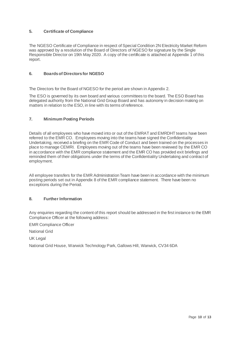#### **5. Certificate of Compliance**

The NGESO Certificate of Compliance in respect of Special Condition 2N Electricity Market Reform was approved by a resolution of the Board of Directors of NGESO for signature by the Single Responsible Director on 19th May 2020. A copy of the certificate is attached at Appendix 1 of this report.

#### **6. Boards of Directors for NGESO**

The Directors for the Board of NGESO for the period are shown in Appendix 2.

The ESO is governed by its own board and various committees to the board. The ESO Board has delegated authority from the National Grid Group Board and has autonomy in decision making on matters in relation to the ESO, in line with its terms of reference.

#### **7. Minimum Posting Periods**

Details of all employees who have moved into or out of the EMRAT and EMRDHT teams have been referred to the EMR CO. Employees moving into the teams have signed the Confidentiality Undertaking, received a briefing on the EMR Code of Conduct and been trained on the processes in place to manage CEMRI. Employees moving out of the teams have been reviewed by the EMR CO in accordance with the EMR compliance statement and the EMR CO has provided exit briefings and reminded them of their obligations under the terms of the Confidentiality Undertaking and contract of employment.

All employee transfers for the EMR Administration Team have been in accordance with the minimum posting periods set out in Appendix 8 of the EMR compliance statement. There have been no exceptions during the Period.

#### **8. Further Information**

Any enquiries regarding the content of this report should be addressed in the first instance to the EMR Compliance Officer at the following address:

EMR Compliance Officer

National Grid

UK Legal

National Grid House, Warwick Technology Park, Gallows Hill, Warwick, CV34 6DA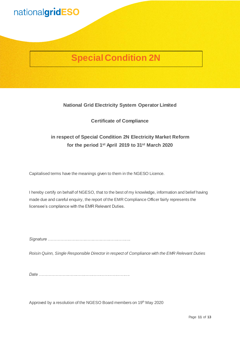# nationalgridESO

## **Special Condition 2N**

#### **National Grid Electricity System Operator Limited**

#### **Certificate of Compliance**

## **in respect of Special Condition 2N Electricity Market Reform for the period 1st April 2019 to 31st March 2020**

Capitalised terms have the meanings given to them in the NGESO Licence.

I hereby certify on behalf of NGESO, that to the best of my knowledge, information and belief having made due and careful enquiry, the report of the EMR Compliance Officer fairly represents the licensee's compliance with the EMR Relevant Duties.

*Signature …………………………………………………….*

*Roisin Quinn, Single Responsible Director in respect of Compliance with the EMR Relevant Duties* 

*Date ………………………………………………………….*

Approved by a resolution of the NGESO Board members on 19th May 2020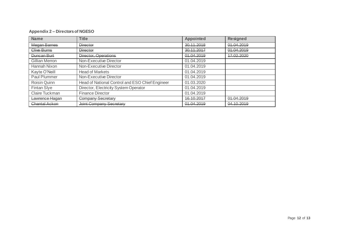#### **Appendix 2 – Directors of NGESO**

| <b>Name</b>           | <b>Title</b>                                    | <b>Appointed</b> | <b>Resigned</b> |
|-----------------------|-------------------------------------------------|------------------|-----------------|
| Megan Barnes          | Director                                        | 30.11.2018       | 01.04.2019      |
| Clive Burns           | <b>Director</b>                                 | 30.11.2017       | 01.04.2019      |
| Duncan Burt           | Director, Operations                            | 01.04.2019       | 17.02.2020      |
| <b>Gillian Merron</b> | Non-Executive Director                          | 01.04.2019       |                 |
| Hannah Nixon          | Non-Executive Director                          | 01.04.2019       |                 |
| Kayte O'Neill         | <b>Head of Markets</b>                          | 01.04.2019       |                 |
| Paul Plummer          | Non-Executive Director                          | 01.04.2019       |                 |
| Roisin Quinn          | Head of National Control and ESO Chief Engineer | 01.03.2020       |                 |
| <b>Fintan Slye</b>    | Director, Electricity System Operator           | 01.04.2019       |                 |
| Claire Tuckman        | <b>Finance Director</b>                         | 01.04.2019       |                 |
| Lawrence Hagan        | Company Secretary                               | 16.10.2017       | 01.04.2019      |
| <b>Chantal Ackon</b>  | <b>Joint Company Secretary</b>                  | 01.04.2019       | 04.10.2019      |